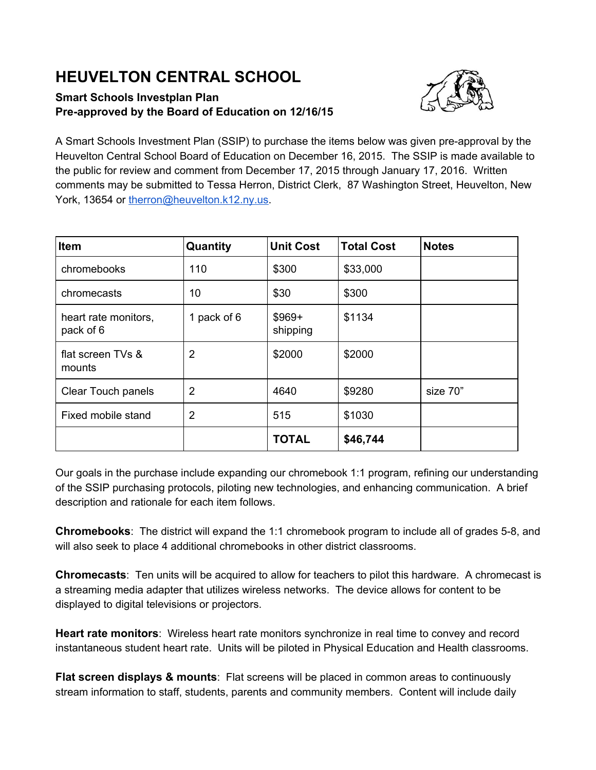## **HEUVELTON CENTRAL SCHOOL**

## **Smart Schools Investplan Plan Preapproved by the Board of Education on 12/16/15**



A Smart Schools Investment Plan (SSIP) to purchase the items below was given pre-approval by the Heuvelton Central School Board of Education on December 16, 2015. The SSIP is made available to the public for review and comment from December 17, 2015 through January 17, 2016. Written comments may be submitted to Tessa Herron, District Clerk, 87 Washington Street, Heuvelton, New York, 13654 or [therron@heuvelton.k12.ny.us.](mailto:therron@heuvelton.k12.ny.us)

| <b>Item</b>                       | Quantity       | <b>Unit Cost</b>    | <b>Total Cost</b> | <b>Notes</b> |
|-----------------------------------|----------------|---------------------|-------------------|--------------|
| chromebooks                       | 110            | \$300               | \$33,000          |              |
| chromecasts                       | 10             | \$30                | \$300             |              |
| heart rate monitors,<br>pack of 6 | 1 pack of 6    | $$969+$<br>shipping | \$1134            |              |
| flat screen TVs &<br>mounts       | $\overline{2}$ | \$2000              | \$2000            |              |
| <b>Clear Touch panels</b>         | $\overline{2}$ | 4640                | \$9280            | size 70"     |
| Fixed mobile stand                | $\overline{2}$ | 515                 | \$1030            |              |
|                                   |                | <b>TOTAL</b>        | \$46,744          |              |

Our goals in the purchase include expanding our chromebook 1:1 program, refining our understanding of the SSIP purchasing protocols, piloting new technologies, and enhancing communication. A brief description and rationale for each item follows.

**Chromebooks**: The district will expand the 1:1 chromebook program to include all of grades 5-8, and will also seek to place 4 additional chromebooks in other district classrooms.

**Chromecasts**: Ten units will be acquired to allow for teachers to pilot this hardware. A chromecast is a streaming media adapter that utilizes wireless networks. The device allows for content to be displayed to digital televisions or projectors.

**Heart rate monitors**: Wireless heart rate monitors synchronize in real time to convey and record instantaneous student heart rate. Units will be piloted in Physical Education and Health classrooms.

**Flat screen displays & mounts**: Flat screens will be placed in common areas to continuously stream information to staff, students, parents and community members. Content will include daily